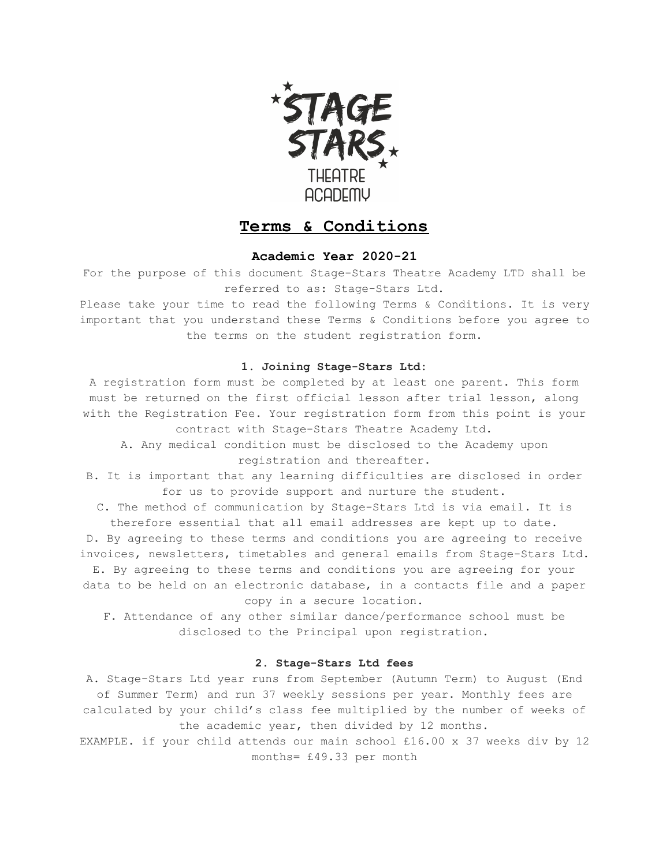

# **Terms & Conditions**

# **Academic Year 2020-21**

For the purpose of this document Stage-Stars Theatre Academy LTD shall be referred to as: Stage-Stars Ltd.

Please take your time to read the following Terms & Conditions. It is very important that you understand these Terms & Conditions before you agree to the terms on the student registration form.

## **1. Joining Stage-Stars Ltd:**

A registration form must be completed by at least one parent. This form must be returned on the first official lesson after trial lesson, along with the Registration Fee. Your registration form from this point is your contract with Stage-Stars Theatre Academy Ltd.

- A. Any medical condition must be disclosed to the Academy upon registration and thereafter.
- B. It is important that any learning difficulties are disclosed in order for us to provide support and nurture the student.

C. The method of communication by Stage-Stars Ltd is via email. It is therefore essential that all email addresses are kept up to date.

D. By agreeing to these terms and conditions you are agreeing to receive invoices, newsletters, timetables and general emails from Stage-Stars Ltd.

E. By agreeing to these terms and conditions you are agreeing for your data to be held on an electronic database, in a contacts file and a paper copy in a secure location.

F. Attendance of any other similar dance/performance school must be disclosed to the Principal upon registration.

## **2. Stage-Stars Ltd fees**

A. Stage-Stars Ltd year runs from September (Autumn Term) to August (End of Summer Term) and run 37 weekly sessions per year. Monthly fees are calculated by your child's class fee multiplied by the number of weeks of the academic year, then divided by 12 months.

EXAMPLE. if your child attends our main school £16.00 x 37 weeks div by 12 months= £49.33 per month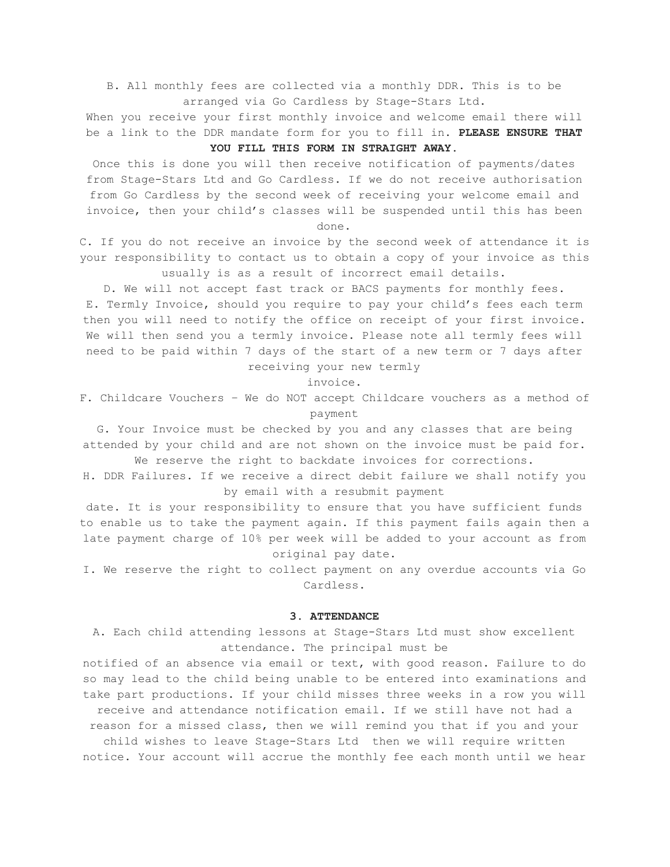B. All monthly fees are collected via a monthly DDR. This is to be arranged via Go Cardless by Stage-Stars Ltd.

When you receive your first monthly invoice and welcome email there will be a link to the DDR mandate form for you to fill in. **PLEASE ENSURE THAT**

# **YOU FILL THIS FORM IN STRAIGHT AWAY.**

Once this is done you will then receive notification of payments/dates from Stage-Stars Ltd and Go Cardless. If we do not receive authorisation from Go Cardless by the second week of receiving your welcome email and invoice, then your child's classes will be suspended until this has been done.

C. If you do not receive an invoice by the second week of attendance it is your responsibility to contact us to obtain a copy of your invoice as this usually is as a result of incorrect email details.

D. We will not accept fast track or BACS payments for monthly fees. E. Termly Invoice, should you require to pay your child's fees each term then you will need to notify the office on receipt of your first invoice. We will then send you a termly invoice. Please note all termly fees will need to be paid within 7 days of the start of a new term or 7 days after

receiving your new termly

invoice.

F. Childcare Vouchers – We do NOT accept Childcare vouchers as a method of payment

G. Your Invoice must be checked by you and any classes that are being attended by your child and are not shown on the invoice must be paid for.

We reserve the right to backdate invoices for corrections.

H. DDR Failures. If we receive a direct debit failure we shall notify you by email with a resubmit payment

date. It is your responsibility to ensure that you have sufficient funds to enable us to take the payment again. If this payment fails again then a late payment charge of 10% per week will be added to your account as from original pay date.

I. We reserve the right to collect payment on any overdue accounts via Go Cardless.

## **3. ATTENDANCE**

A. Each child attending lessons at Stage-Stars Ltd must show excellent attendance. The principal must be

notified of an absence via email or text, with good reason. Failure to do so may lead to the child being unable to be entered into examinations and take part productions. If your child misses three weeks in a row you will receive and attendance notification email. If we still have not had a reason for a missed class, then we will remind you that if you and your child wishes to leave Stage-Stars Ltd then we will require written notice. Your account will accrue the monthly fee each month until we hear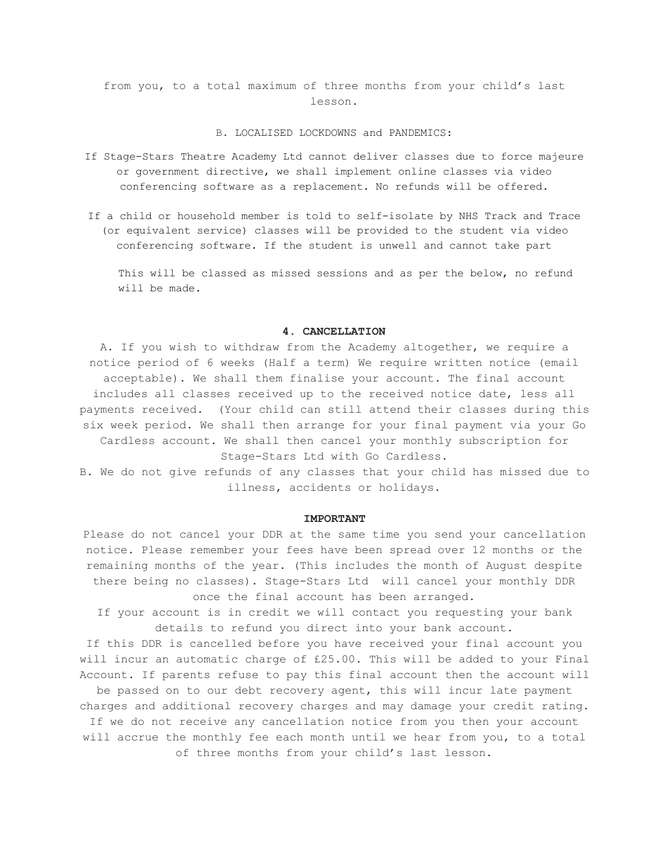from you, to a total maximum of three months from your child's last lesson.

## B. LOCALISED LOCKDOWNS and PANDEMICS:

- If Stage-Stars Theatre Academy Ltd cannot deliver classes due to force majeure or government directive, we shall implement online classes via video conferencing software as a replacement. No refunds will be offered.
- If a child or household member is told to self-isolate by NHS Track and Trace (or equivalent service) classes will be provided to the student via video conferencing software. If the student is unwell and cannot take part

This will be classed as missed sessions and as per the below, no refund will be made.

## **4. CANCELLATION**

A. If you wish to withdraw from the Academy altogether, we require a notice period of 6 weeks (Half a term) We require written notice (email acceptable). We shall them finalise your account. The final account includes all classes received up to the received notice date, less all payments received. (Your child can still attend their classes during this six week period. We shall then arrange for your final payment via your Go Cardless account. We shall then cancel your monthly subscription for Stage-Stars Ltd with Go Cardless.

B. We do not give refunds of any classes that your child has missed due to illness, accidents or holidays.

#### **IMPORTANT**

Please do not cancel your DDR at the same time you send your cancellation notice. Please remember your fees have been spread over 12 months or the remaining months of the year. (This includes the month of August despite there being no classes). Stage-Stars Ltd will cancel your monthly DDR once the final account has been arranged.

If your account is in credit we will contact you requesting your bank details to refund you direct into your bank account.

If this DDR is cancelled before you have received your final account you will incur an automatic charge of £25.00. This will be added to your Final Account. If parents refuse to pay this final account then the account will

be passed on to our debt recovery agent, this will incur late payment charges and additional recovery charges and may damage your credit rating. If we do not receive any cancellation notice from you then your account will accrue the monthly fee each month until we hear from you, to a total of three months from your child's last lesson.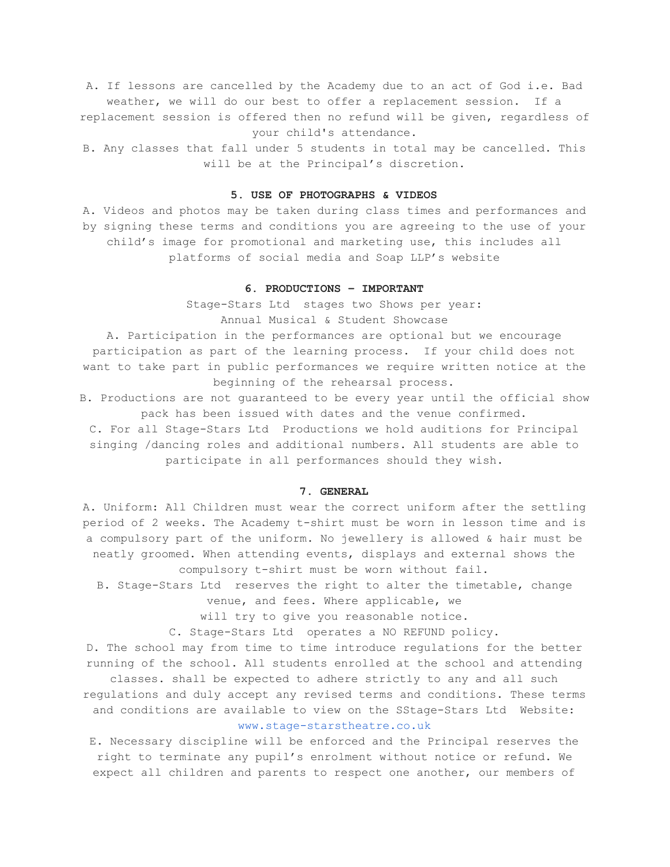A. If lessons are cancelled by the Academy due to an act of God i.e. Bad weather, we will do our best to offer a replacement session. If a replacement session is offered then no refund will be given, regardless of your child's attendance.

B. Any classes that fall under 5 students in total may be cancelled. This will be at the Principal's discretion.

#### **5. USE OF PHOTOGRAPHS & VIDEOS**

A. Videos and photos may be taken during class times and performances and by signing these terms and conditions you are agreeing to the use of your child's image for promotional and marketing use, this includes all platforms of social media and Soap LLP's website

## **6. PRODUCTIONS – IMPORTANT**

Stage-Stars Ltd stages two Shows per year: Annual Musical & Student Showcase

A. Participation in the performances are optional but we encourage participation as part of the learning process. If your child does not want to take part in public performances we require written notice at the beginning of the rehearsal process.

B. Productions are not guaranteed to be every year until the official show pack has been issued with dates and the venue confirmed.

C. For all Stage-Stars Ltd Productions we hold auditions for Principal singing /dancing roles and additional numbers. All students are able to participate in all performances should they wish.

## **7. GENERAL**

A. Uniform: All Children must wear the correct uniform after the settling period of 2 weeks. The Academy t-shirt must be worn in lesson time and is a compulsory part of the uniform. No jewellery is allowed & hair must be neatly groomed. When attending events, displays and external shows the compulsory t-shirt must be worn without fail.

B. Stage-Stars Ltd reserves the right to alter the timetable, change

venue, and fees. Where applicable, we

will try to give you reasonable notice.

C. Stage-Stars Ltd operates a NO REFUND policy.

D. The school may from time to time introduce regulations for the better running of the school. All students enrolled at the school and attending classes. shall be expected to adhere strictly to any and all such regulations and duly accept any revised terms and conditions. These terms and conditions are available to view on the SStage-Stars Ltd Website: [www.stage-starstheatre.co.uk](http://www.stage-starstheatre.co.uk/)

E. Necessary discipline will be enforced and the Principal reserves the right to terminate any pupil's enrolment without notice or refund. We expect all children and parents to respect one another, our members of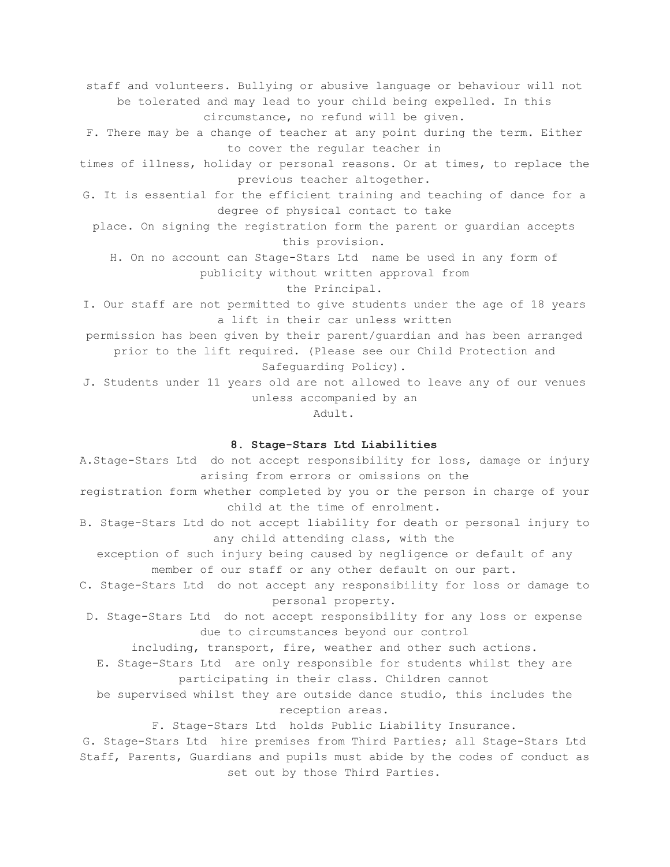staff and volunteers. Bullying or abusive language or behaviour will not be tolerated and may lead to your child being expelled. In this circumstance, no refund will be given.

F. There may be a change of teacher at any point during the term. Either to cover the regular teacher in

times of illness, holiday or personal reasons. Or at times, to replace the previous teacher altogether.

G. It is essential for the efficient training and teaching of dance for a degree of physical contact to take

place. On signing the registration form the parent or guardian accepts this provision.

H. On no account can Stage-Stars Ltd name be used in any form of publicity without written approval from

the Principal.

I. Our staff are not permitted to give students under the age of 18 years a lift in their car unless written

permission has been given by their parent/guardian and has been arranged prior to the lift required. (Please see our Child Protection and

Safeguarding Policy).

J. Students under 11 years old are not allowed to leave any of our venues unless accompanied by an

Adult.

#### **8. Stage-Stars Ltd Liabilities**

A.Stage-Stars Ltd do not accept responsibility for loss, damage or injury arising from errors or omissions on the

registration form whether completed by you or the person in charge of your child at the time of enrolment.

B. Stage-Stars Ltd do not accept liability for death or personal injury to any child attending class, with the

exception of such injury being caused by negligence or default of any member of our staff or any other default on our part.

C. Stage-Stars Ltd do not accept any responsibility for loss or damage to personal property.

D. Stage-Stars Ltd do not accept responsibility for any loss or expense due to circumstances beyond our control

including, transport, fire, weather and other such actions.

E. Stage-Stars Ltd are only responsible for students whilst they are participating in their class. Children cannot

be supervised whilst they are outside dance studio, this includes the reception areas.

F. Stage-Stars Ltd holds Public Liability Insurance.

G. Stage-Stars Ltd hire premises from Third Parties; all Stage-Stars Ltd Staff, Parents, Guardians and pupils must abide by the codes of conduct as set out by those Third Parties.